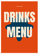#### **33 OLDHAM STREET**

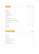|                               | HALF           | PINT           |
|-------------------------------|----------------|----------------|
|                               |                |                |
| PERONI                        | 3              | 5.50           |
| GUINNESS                      | 2.75           | 4.75           |
| CAMDEN PALE                   | 3              | 4.95           |
| CAMDEN HELLS                  | 3              | 4.95           |
| CORONA                        | 3              | 5.70           |
| KINGSTON PRESS APPLE          | $\overline{2}$ | $\overline{4}$ |
| KINGSTON PRESS WILD BERRY     | 2.25           | 4.50           |
| KALTENBERG [2 PINTS FOR 6.50] | 2              | 3.75           |
| ASAHI                         | 3              | 5.50           |
| SHIPYARD                      | 2.25           | 4.50           |
| ESTRELLA                      | 3              | 4.95           |

| 33 U M |
|--------|
|        |

| ESTRELLA            | 4.50 |
|---------------------|------|
| CORONA              | 4.50 |
| <b>DESPERADO</b>    | 4.50 |
| DAURA [GLUTEN-FREE] | 4    |
| BECKS [0% ALC]      | 3    |
| SAN MIGUEL [0% ALC] | 3.50 |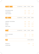|                    | £15 BOTTLE 125ML 175ML       |      |                | 250ML        |
|--------------------|------------------------------|------|----------------|--------------|
|                    |                              |      |                |              |
| SAUVIGNON BLANC    |                              |      | 3.50 4.50      | $\sim$ 6     |
| CHARDONNAY         |                              |      |                | 3.50 4.50 6  |
| PINOT GRIGIO       |                              |      | 3.50 4.50 6.50 |              |
|                    | £16 BOTTLE 125ML 175ML 250ML |      |                |              |
| CABERNET SAUVIGNON |                              |      | 4.80 5.80      | - 7          |
| MERLOT             |                              |      | 4.60 5.80 6.70 |              |
| SHIRAZ             |                              |      | 4.50 5.50 6.50 |              |
| PINOT NOIR         |                              |      | 4.50 5.50 6.50 |              |
|                    | £15 BOTTLE 125ML 175ML       |      |                | 250ML        |
| WHITE ZINFANDEL    |                              | 5.40 |                | 666.80       |
| ROSÉ               |                              | 5.40 |                | 66.80        |
|                    |                              |      |                | 175ML BOTTLE |
| PROSECCO           |                              |      | 5.40           | 22           |
| CHAMPAGNE          |                              |      |                | 50           |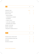|                          | S    | D |
|--------------------------|------|---|
|                          |      |   |
| GORDON'S GIN             | 3.50 | 5 |
| MANCHESTER GIN           | 4    | 6 |
| WHITLEY NEIL             | 4    | 6 |
| - BLOOD ORANGE           |      |   |
| - LEMONGRASS & GINGER    |      |   |
| $-$ RASPBERRY            |      |   |
| - PARMA VIOLET           |      |   |
| - ALOE AND CUCUMBER      |      |   |
| - RHUBARB AND GINGER     |      |   |
| <b>BOMBAY SAPPHIRE</b>   | 5    | 9 |
| <b>BOMBAY BRAMBLE</b>    | 5    | 9 |
| TANQUERAY ORANGE SEVILLA | 5    | 9 |
|                          |      |   |
|                          | S    | D |
|                          |      |   |
| KRAKEN BLACK SPICED RUM  | 4    | 7 |
| CAPTAIN MORGAN DARK RUM  | 4    | 7 |
| <b>BACARDI</b>           | 4    | 6 |
| BACARDI COCONUT          | 5    | 8 |

All of our mixers are an extra £1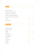|                             | S    | D    |
|-----------------------------|------|------|
|                             |      |      |
| ABSOLUTE VODKA              | 4    | 7    |
| ABSOLUTE VODKA CITRON       |      | 8    |
| ABSLUTE VODKA MANGO         |      | 8    |
| ABSOLUTE VODKA RASPBERRY    | 4.50 | 8    |
| ABSOLUTE VODKA PASSIONFRUIT | 4.50 | 8    |
| CÎROC                       | 4.50 | 8    |
| GREY GOOSE                  | 5    | 8.50 |
|                             |      |      |
| IUEURS                      | S    | D    |
|                             |      |      |
| SAMBUCA WHITE               | 3    |      |
| SAMBUCA BLACK               | 3.50 |      |
| PIMMS                       | 2.50 | 4.50 |
| CAMPARI                     | 2.50 | 4.50 |
| <b>JÄGERMEISTER</b>         | 3.50 |      |
| JÄGERBOMB                   | 5    |      |
| <b>BAILEYS</b>              | 3.50 | 4.50 |
| DISARONNO                   | 3.50 | 5    |
| MIDORI                      | 3.50 | 5    |
| KAHLÚA                      | 3.50 | 5    |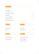## BOURBON

### J C K D A N I E L'S

| JACK DAIEL'S FIRE     | 4 | 7.50 |
|-----------------------|---|------|
| JACK DANEL'S HONEY    | 4 | 7.50 |
| <b>JIM BEAM</b>       | 4 | 7.50 |
| <b>BULLEI BOURBON</b> | 4 | 7.50 |
| <b>GENTLEMAN JACK</b> |   | 8.50 |
| WOODFORD RESERVE      |   | 8    |

|                | S    | D |                 | S |    |
|----------------|------|---|-----------------|---|----|
|                |      |   |                 |   |    |
| MONTE ALBAN    | 3.75 | 6 | <b>HENNESSY</b> | 5 | 8  |
| ESPOLÒN        | 4    | 7 | RÉMY MARTIN     | 6 | 12 |
|                |      |   |                 |   |    |
|                | S    | D |                 |   | D  |
|                |      |   |                 |   |    |
| JOHNNIE WALKER | 5    | 9 | PATRÓN REPOSADO |   | 5  |
| CHIVAS REGAL   | 5    | 9 | PATRÓN HONEY    |   | 5  |
|                |      |   | PATRÓN XO CAFE  |   | 5  |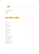| SOUTHERN COMFORT | 3.50 | 5 |
|------------------|------|---|
| JAMESON          |      |   |
| SLANE            |      | 8 |

# SOFT DRINKS & JUICES

| COKE                 | 2.50           |
|----------------------|----------------|
| DIET COKE            | 2.50           |
| LEMONADE             | 2.50           |
| FIZZY VIMTO          | 2.50           |
| ODA                  | $\mathbf{1}$   |
| ODA & LIME           | 1.50           |
| RED BULL             | $\overline{2}$ |
| GINGE BEER           | $\mathbf{1}$   |
| 20                   | 2.50           |
| <b>BOTTLED WATER</b> | $\mathbf{1}$   |
| ORANGE JUICE         | 2              |
| APPLE JUICE          | 2.50           |
| PNEAPPLE JUICE       | 2.50           |
| CRANBERRY JUICE      | 2.50           |